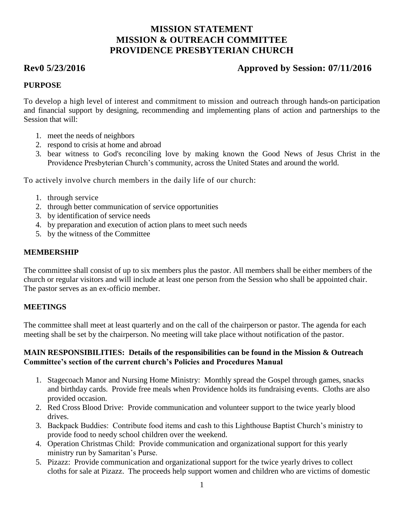# **MISSION STATEMENT MISSION & OUTREACH COMMITTEE PROVIDENCE PRESBYTERIAN CHURCH**

# **Rev0 5/23/2016 Approved by Session: 07/11/2016**

# **PURPOSE**

To develop a high level of interest and commitment to mission and outreach through hands-on participation and financial support by designing, recommending and implementing plans of action and partnerships to the Session that will:

- 1. meet the needs of neighbors
- 2. respond to crisis at home and abroad
- 3. bear witness to God's reconciling love by making known the Good News of Jesus Christ in the Providence Presbyterian Church's community, across the United States and around the world.

To actively involve church members in the daily life of our church:

- 1. through service
- 2. through better communication of service opportunities
- 3. by identification of service needs
- 4. by preparation and execution of action plans to meet such needs
- 5. by the witness of the Committee

#### **MEMBERSHIP**

The committee shall consist of up to six members plus the pastor. All members shall be either members of the church or regular visitors and will include at least one person from the Session who shall be appointed chair. The pastor serves as an ex-officio member.

### **MEETINGS**

The committee shall meet at least quarterly and on the call of the chairperson or pastor. The agenda for each meeting shall be set by the chairperson. No meeting will take place without notification of the pastor.

#### **MAIN RESPONSIBILITIES: Details of the responsibilities can be found in the Mission & Outreach Committee's section of the current church's Policies and Procedures Manual**

- 1. Stagecoach Manor and Nursing Home Ministry: Monthly spread the Gospel through games, snacks and birthday cards. Provide free meals when Providence holds its fundraising events. Cloths are also provided occasion.
- 2. Red Cross Blood Drive: Provide communication and volunteer support to the twice yearly blood drives.
- 3. Backpack Buddies: Contribute food items and cash to this Lighthouse Baptist Church's ministry to provide food to needy school children over the weekend.
- 4. Operation Christmas Child: Provide communication and organizational support for this yearly ministry run by Samaritan's Purse.
- 5. Pizazz: Provide communication and organizational support for the twice yearly drives to collect cloths for sale at Pizazz. The proceeds help support women and children who are victims of domestic